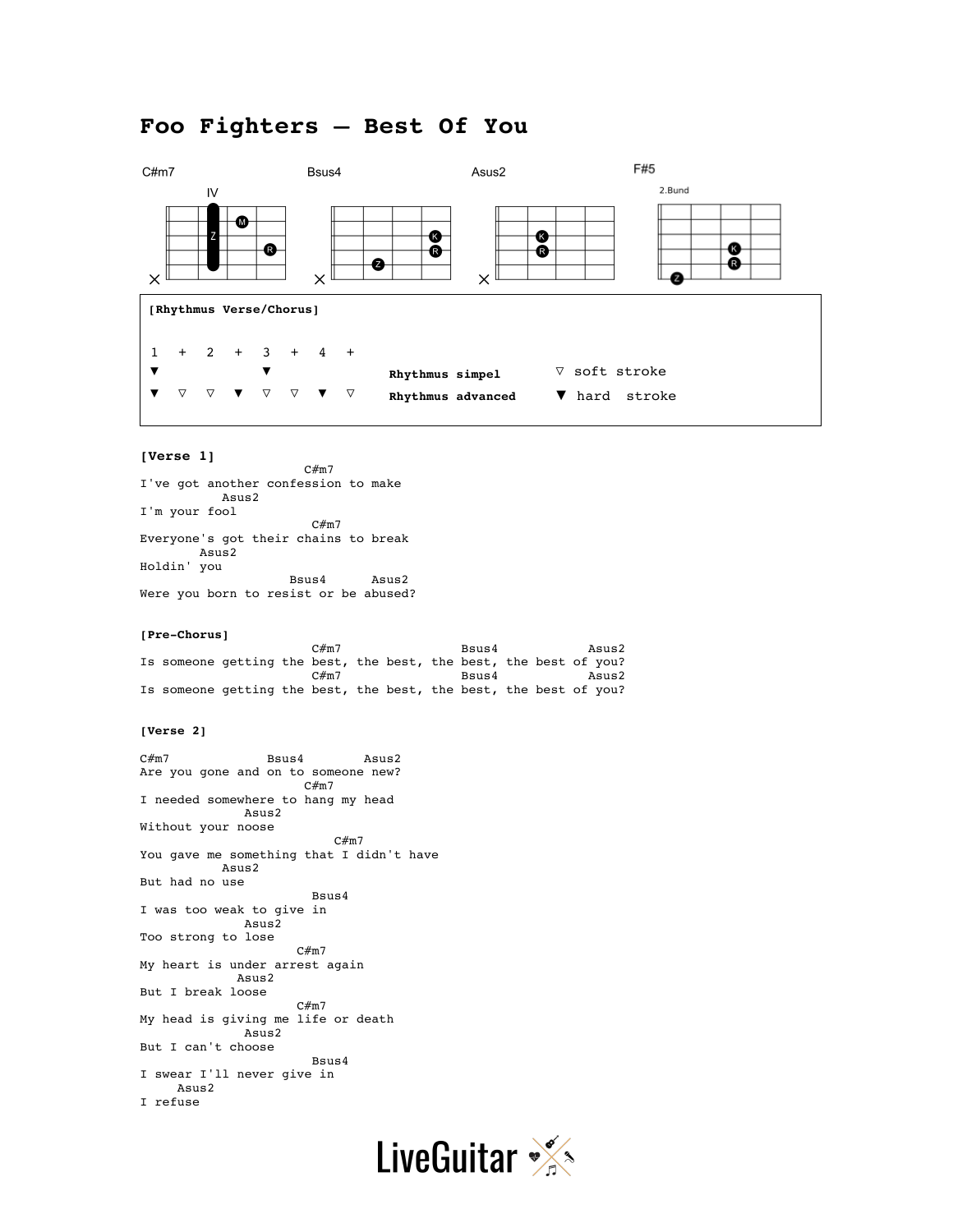# **Foo Fighters – Best Of You**



## **[Verse 1]**

I've got another confession to make Asus2 I'm your fool C#m7 Everyone's got their chains to break Asus2 Holdin' you Bsus4 Asus2 Were you born to resist or be abused?

 $C#m7$ 

#### **[Pre-Chorus]**

 $C\#m7$  Bsus4  $B\subset\mathbb{R}^2$  Bsus4  $B\subset\mathbb{R}^2$ Is someone getting the best, the best, the best, the best of you? Bsus4 Asus2 Is someone getting the best, the best, the best, the best of you?

## **[Verse 2]**

C#m7 Bsus4 Asus2 Are you gone and on to someone new? C#m7 I needed somewhere to hang my head Asus2 Without your noose  $C#m7$ You gave me something that I didn't have Asus2 But had no use Bsus4 I was too weak to give in Asus2 Too strong to lose C#m7 My heart is under arrest again Asus2 But I break loose C#m7 My head is giving me life or death Asus2 But I can't choose Bsus4 I swear I'll never give in Asus2 I refuse

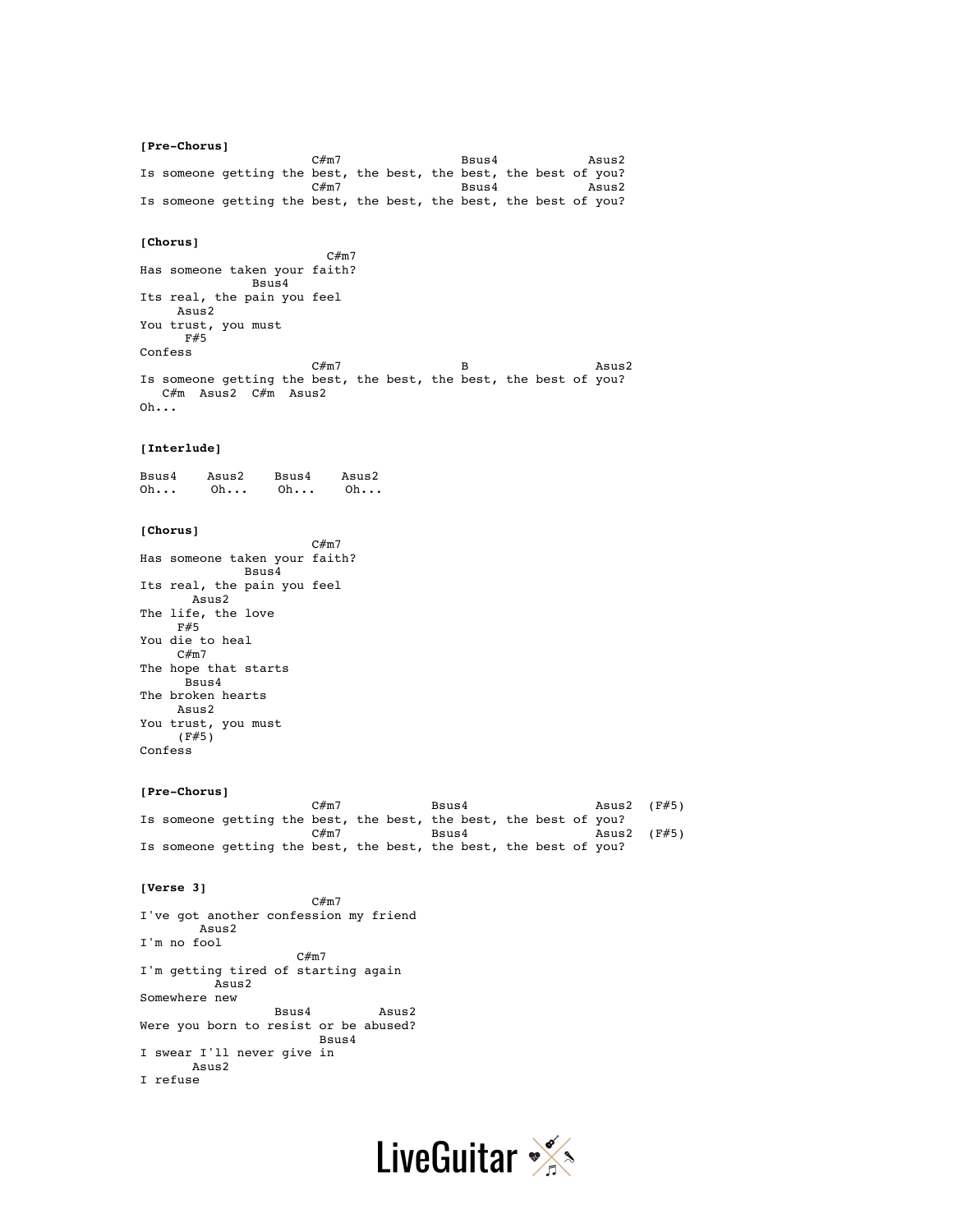**[Pre-Chorus]**  $C\#m7$  Bsus4  $\qquad \qquad$  Asus2 Is someone getting the best, the best, the best, the best of you?  $C\#m7$  Bsus4  $B\subset\mathbb{R}^2$  Bsus4  $B\subset\mathbb{R}^2$ Is someone getting the best, the best, the best, the best of you?

## **[Chorus]**

 C#m7 Has someone taken your faith? Bsus4 Its real, the pain you feel Asus2 You trust, you must  $F#5$ Confess  $C\#m7$  B B Asus2 Is someone getting the best, the best, the best, the best of you? C#m Asus2 C#m Asus2 Oh...

#### **[Interlude]**

Bsus4 Asus2 Bsus4 Asus2 Oh... Oh... Oh... Oh...

## **[Chorus]**

 $C#m7$ Has someone taken your faith? Bsus4 Its real, the pain you feel Asus2 The life, the love F#5 You die to heal C#m7 The hope that starts Bsus4 The broken hearts Asus2 You trust, you must (F#5) Confess

#### **[Pre-Chorus]**

 $C\#m7$  Bsus4 Bsus4 Asus2 (F#5) Is someone getting the best, the best, the best, the best of you?<br>C#m7 Bsus4 Bsus4 Asus2 (F#5)  $C\#m$ 7 B $\texttt{S} \cup \texttt{S} \cup \texttt{S} \cup \texttt{S} \cup \texttt{S} \cup \texttt{S} \cup \texttt{S} \cup \texttt{S} \cup \texttt{S} \cup \texttt{S} \cup \texttt{S} \cup \texttt{S} \cup \texttt{S} \cup \texttt{S} \cup \texttt{S} \cup \texttt{S} \cup \texttt{S} \cup \texttt{S} \cup \texttt{S} \cup \texttt{S} \cup \texttt{S} \cup \texttt{S} \cup \texttt{S} \cup \texttt{S} \cup \texttt{S} \cup \texttt{S} \cup \texttt$ Is someone getting the best, the best, the best, the best of you?

#### **[Verse 3]**

 $C#m7$ I've got another confession my friend Asus2 I'm no fool C#m7 I'm getting tired of starting again Asus2 Somewhere new Bsus4 Asus2 Were you born to resist or be abused? Bsus4 I swear I'll never give in Asus2 I refuse